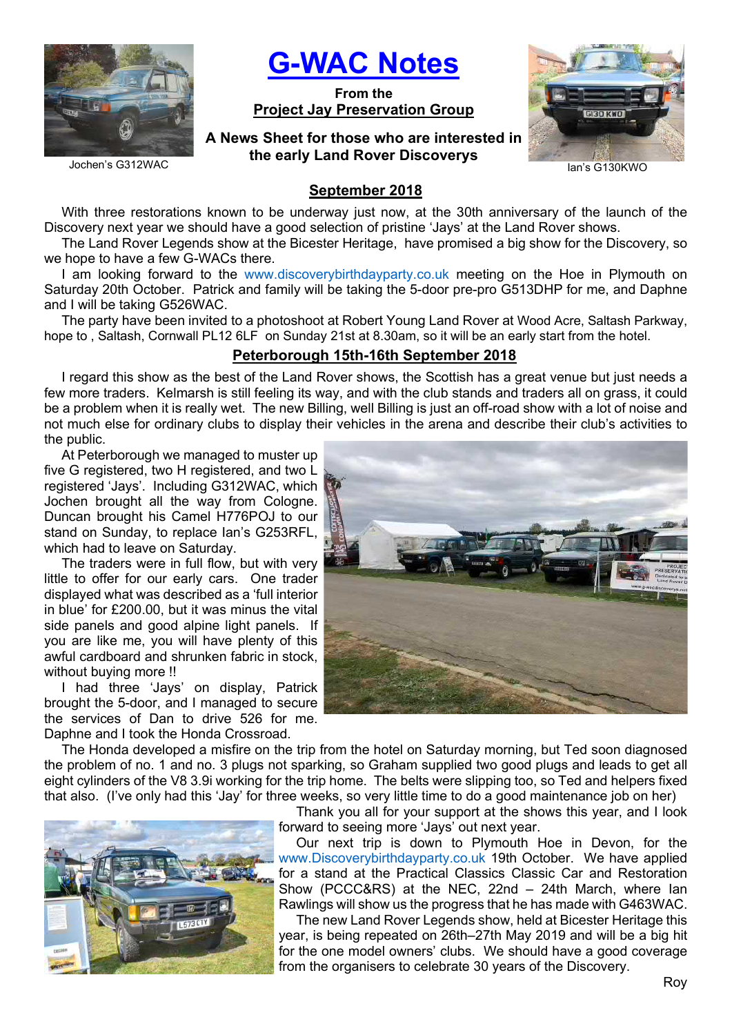

G-WAC Notes

From the Project Jay Preservation Group

# A News Sheet for those who are interested in the early Land Rover Discoverys



Jochen's G312WAC

# September 2018

With three restorations known to be underway just now, at the 30th anniversary of the launch of the Discovery next year we should have a good selection of pristine 'Jays' at the Land Rover shows.

The Land Rover Legends show at the Bicester Heritage, have promised a big show for the Discovery, so we hope to have a few G-WACs there.

I am looking forward to the www.discoverybirthdayparty.co.uk meeting on the Hoe in Plymouth on Saturday 20th October. Patrick and family will be taking the 5-door pre-pro G513DHP for me, and Daphne and I will be taking G526WAC.

The party have been invited to a photoshoot at Robert Young Land Rover at Wood Acre, Saltash Parkway, hope to , Saltash, Cornwall PL12 6LF on Sunday 21st at 8.30am, so it will be an early start from the hotel.

## Peterborough 15th-16th September 2018

I regard this show as the best of the Land Rover shows, the Scottish has a great venue but just needs a few more traders. Kelmarsh is still feeling its way, and with the club stands and traders all on grass, it could be a problem when it is really wet. The new Billing, well Billing is just an off-road show with a lot of noise and not much else for ordinary clubs to display their vehicles in the arena and describe their club's activities to the public.

At Peterborough we managed to muster up five G registered, two H registered, and two L registered 'Jays'. Including G312WAC, which Jochen brought all the way from Cologne. Duncan brought his Camel H776POJ to our stand on Sunday, to replace Ian's G253RFL, which had to leave on Saturday.

The traders were in full flow, but with very little to offer for our early cars. One trader displayed what was described as a 'full interior in blue' for £200.00, but it was minus the vital side panels and good alpine light panels. If you are like me, you will have plenty of this awful cardboard and shrunken fabric in stock, without buving more !!

I had three 'Jays' on display, Patrick brought the 5-door, and I managed to secure the services of Dan to drive 526 for me. Daphne and I took the Honda Crossroad.

The Honda developed a misfire on the trip from the hotel on Saturday morning, but Ted soon diagnosed the problem of no. 1 and no. 3 plugs not sparking, so Graham supplied two good plugs and leads to get all eight cylinders of the V8 3.9i working for the trip home. The belts were slipping too, so Ted and helpers fixed that also. (I've only had this 'Jay' for three weeks, so very little time to do a good maintenance job on her)



Thank you all for your support at the shows this year, and I look forward to seeing more 'Jays' out next year.

Our next trip is down to Plymouth Hoe in Devon, for the www.Discoverybirthdayparty.co.uk 19th October. We have applied for a stand at the Practical Classics Classic Car and Restoration Show (PCCC&RS) at the NEC, 22nd – 24th March, where Ian Rawlings will show us the progress that he has made with G463WAC.

The new Land Rover Legends show, held at Bicester Heritage this year, is being repeated on 26th–27th May 2019 and will be a big hit for the one model owners' clubs. We should have a good coverage from the organisers to celebrate 30 years of the Discovery.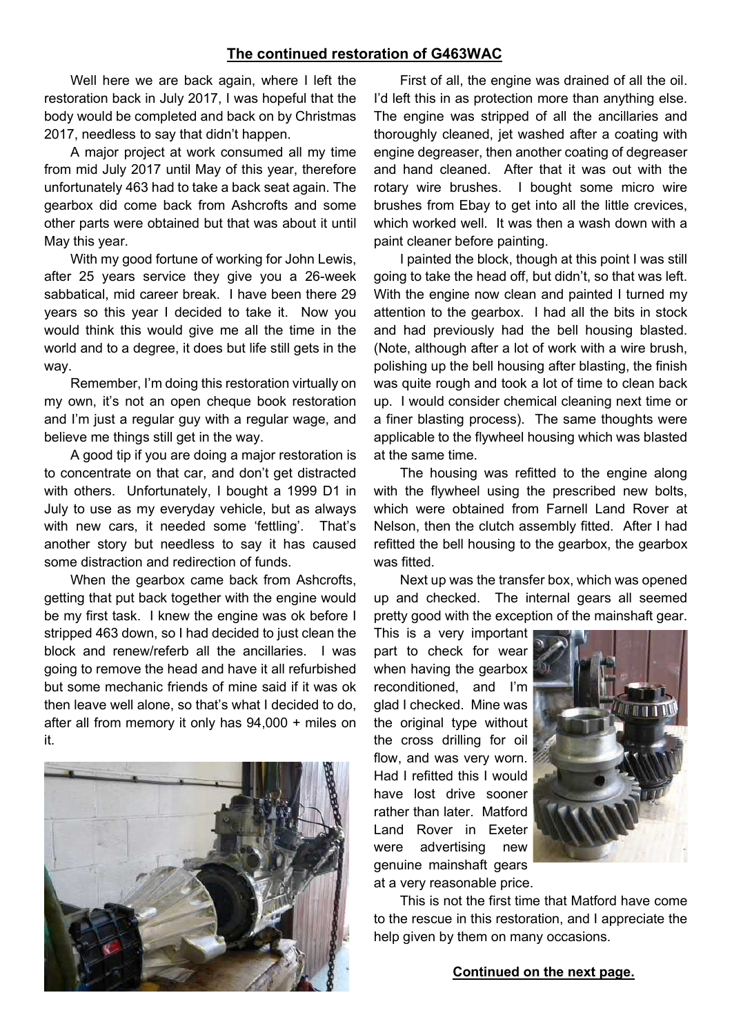#### The continued restoration of G463WAC

Well here we are back again, where I left the restoration back in July 2017, I was hopeful that the body would be completed and back on by Christmas 2017, needless to say that didn't happen.

A major project at work consumed all my time from mid July 2017 until May of this year, therefore unfortunately 463 had to take a back seat again. The gearbox did come back from Ashcrofts and some other parts were obtained but that was about it until May this year.

With my good fortune of working for John Lewis, after 25 years service they give you a 26-week sabbatical, mid career break. I have been there 29 years so this year I decided to take it. Now you would think this would give me all the time in the world and to a degree, it does but life still gets in the way.

Remember, I'm doing this restoration virtually on my own, it's not an open cheque book restoration and I'm just a regular guy with a regular wage, and believe me things still get in the way.

A good tip if you are doing a major restoration is to concentrate on that car, and don't get distracted with others. Unfortunately, I bought a 1999 D1 in July to use as my everyday vehicle, but as always with new cars, it needed some 'fettling'. That's another story but needless to say it has caused some distraction and redirection of funds.

When the gearbox came back from Ashcrofts, getting that put back together with the engine would be my first task. I knew the engine was ok before I stripped 463 down, so I had decided to just clean the block and renew/referb all the ancillaries. I was going to remove the head and have it all refurbished but some mechanic friends of mine said if it was ok then leave well alone, so that's what I decided to do, after all from memory it only has 94,000 + miles on it.



First of all, the engine was drained of all the oil. I'd left this in as protection more than anything else. The engine was stripped of all the ancillaries and thoroughly cleaned, jet washed after a coating with engine degreaser, then another coating of degreaser and hand cleaned. After that it was out with the rotary wire brushes. I bought some micro wire brushes from Ebay to get into all the little crevices, which worked well. It was then a wash down with a paint cleaner before painting.

I painted the block, though at this point I was still going to take the head off, but didn't, so that was left. With the engine now clean and painted I turned my attention to the gearbox. I had all the bits in stock and had previously had the bell housing blasted. (Note, although after a lot of work with a wire brush, polishing up the bell housing after blasting, the finish was quite rough and took a lot of time to clean back up. I would consider chemical cleaning next time or a finer blasting process). The same thoughts were applicable to the flywheel housing which was blasted at the same time.

The housing was refitted to the engine along with the flywheel using the prescribed new bolts, which were obtained from Farnell Land Rover at Nelson, then the clutch assembly fitted. After I had refitted the bell housing to the gearbox, the gearbox was fitted.

Next up was the transfer box, which was opened up and checked. The internal gears all seemed pretty good with the exception of the mainshaft gear.

This is a very important part to check for wear when having the gearbox reconditioned, and I'm glad I checked. Mine was the original type without the cross drilling for oil flow, and was very worn. Had I refitted this I would have lost drive sooner rather than later. Matford Land Rover in Exeter were advertising new genuine mainshaft gears at a very reasonable price.



This is not the first time that Matford have come to the rescue in this restoration, and I appreciate the help given by them on many occasions.

#### Continued on the next page.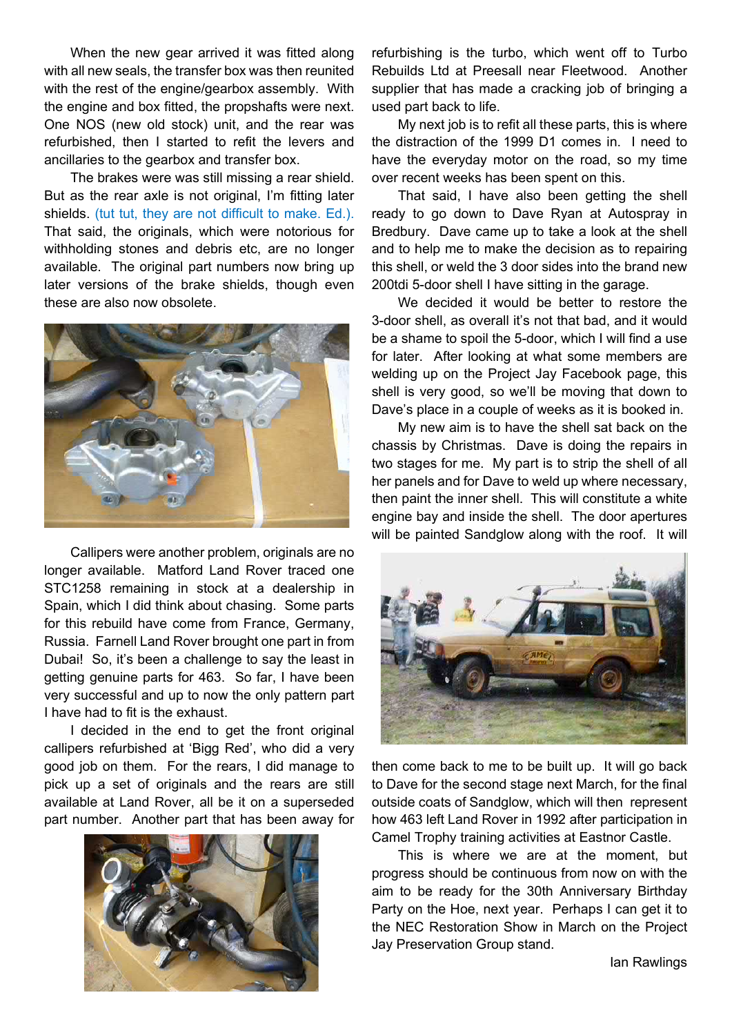When the new gear arrived it was fitted along with all new seals, the transfer box was then reunited with the rest of the engine/gearbox assembly. With the engine and box fitted, the propshafts were next. One NOS (new old stock) unit, and the rear was refurbished, then I started to refit the levers and ancillaries to the gearbox and transfer box.

The brakes were was still missing a rear shield. But as the rear axle is not original, I'm fitting later shields. (tut tut, they are not difficult to make. Ed.). That said, the originals, which were notorious for withholding stones and debris etc, are no longer available. The original part numbers now bring up later versions of the brake shields, though even these are also now obsolete.



Callipers were another problem, originals are no longer available. Matford Land Rover traced one STC1258 remaining in stock at a dealership in Spain, which I did think about chasing. Some parts for this rebuild have come from France, Germany, Russia. Farnell Land Rover brought one part in from Dubai! So, it's been a challenge to say the least in getting genuine parts for 463. So far, I have been very successful and up to now the only pattern part I have had to fit is the exhaust.

I decided in the end to get the front original callipers refurbished at 'Bigg Red', who did a very good job on them. For the rears, I did manage to pick up a set of originals and the rears are still available at Land Rover, all be it on a superseded part number. Another part that has been away for



refurbishing is the turbo, which went off to Turbo Rebuilds Ltd at Preesall near Fleetwood. Another supplier that has made a cracking job of bringing a used part back to life.

My next job is to refit all these parts, this is where the distraction of the 1999 D1 comes in. I need to have the everyday motor on the road, so my time over recent weeks has been spent on this.

That said, I have also been getting the shell ready to go down to Dave Ryan at Autospray in Bredbury. Dave came up to take a look at the shell and to help me to make the decision as to repairing this shell, or weld the 3 door sides into the brand new 200tdi 5-door shell I have sitting in the garage.

We decided it would be better to restore the 3-door shell, as overall it's not that bad, and it would be a shame to spoil the 5-door, which I will find a use for later. After looking at what some members are welding up on the Project Jay Facebook page, this shell is very good, so we'll be moving that down to Dave's place in a couple of weeks as it is booked in.

My new aim is to have the shell sat back on the chassis by Christmas. Dave is doing the repairs in two stages for me. My part is to strip the shell of all her panels and for Dave to weld up where necessary, then paint the inner shell. This will constitute a white engine bay and inside the shell. The door apertures will be painted Sandglow along with the roof. It will



then come back to me to be built up. It will go back to Dave for the second stage next March, for the final outside coats of Sandglow, which will then represent how 463 left Land Rover in 1992 after participation in Camel Trophy training activities at Eastnor Castle.

This is where we are at the moment, but progress should be continuous from now on with the aim to be ready for the 30th Anniversary Birthday Party on the Hoe, next year. Perhaps I can get it to the NEC Restoration Show in March on the Project Jay Preservation Group stand.

Ian Rawlings